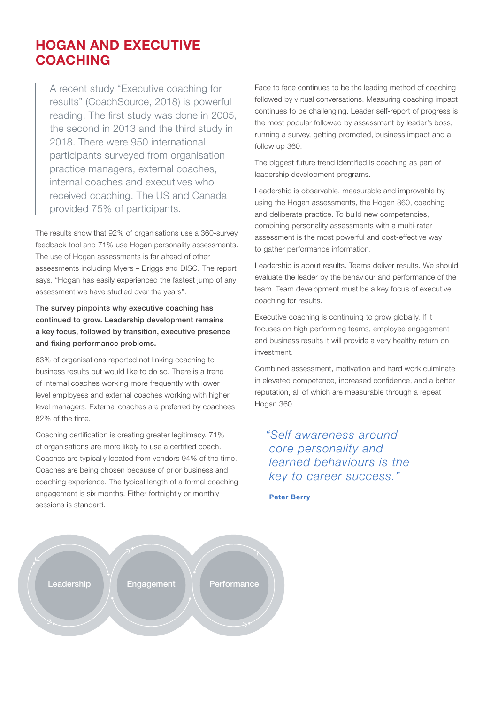## HOGAN AND EXECUTIVE COACHING

A recent study "Executive coaching for results" (CoachSource, 2018) is powerful reading. The first study was done in 2005, the second in 2013 and the third study in 2018. There were 950 international participants surveyed from organisation practice managers, external coaches, internal coaches and executives who received coaching. The US and Canada provided 75% of participants.

The results show that 92% of organisations use a 360-survey feedback tool and 71% use Hogan personality assessments. The use of Hogan assessments is far ahead of other assessments including Myers – Briggs and DISC. The report says, "Hogan has easily experienced the fastest jump of any assessment we have studied over the years".

The survey pinpoints why executive coaching has continued to grow. Leadership development remains a key focus, followed by transition, executive presence and fixing performance problems.

63% of organisations reported not linking coaching to business results but would like to do so. There is a trend of internal coaches working more frequently with lower level employees and external coaches working with higher level managers. External coaches are preferred by coachees 82% of the time.

Coaching certification is creating greater legitimacy. 71% of organisations are more likely to use a certified coach. Coaches are typically located from vendors 94% of the time. Coaches are being chosen because of prior business and coaching experience. The typical length of a formal coaching engagement is six months. Either fortnightly or monthly sessions is standard.

Face to face continues to be the leading method of coaching followed by virtual conversations. Measuring coaching impact continues to be challenging. Leader self-report of progress is the most popular followed by assessment by leader's boss, running a survey, getting promoted, business impact and a follow up 360.

The biggest future trend identified is coaching as part of leadership development programs.

Leadership is observable, measurable and improvable by using the Hogan assessments, the Hogan 360, coaching and deliberate practice. To build new competencies, combining personality assessments with a multi-rater assessment is the most powerful and cost-effective way to gather performance information.

Leadership is about results. Teams deliver results. We should evaluate the leader by the behaviour and performance of the team. Team development must be a key focus of executive coaching for results.

Executive coaching is continuing to grow globally. If it focuses on high performing teams, employee engagement and business results it will provide a very healthy return on investment.

Combined assessment, motivation and hard work culminate in elevated competence, increased confidence, and a better reputation, all of which are measurable through a repeat Hogan 360.

*"Self awareness around core personality and learned behaviours is the key to career success."*

Peter Berry